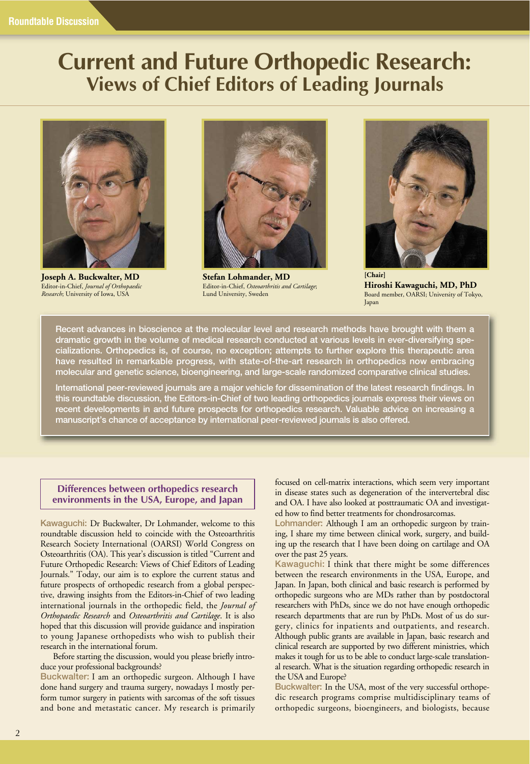# **Current and Future Orthopedic Research: Views of Chief Editors of Leading Journals**



**Joseph A. Buckwalter, MD** Editor-in-Chief, *Journal of Orthopaedic Research*; University of Iowa, USA



**Stefan Lohmander, MD** Editor-in-Chief, *Osteoarthritis and Cartilage*; Lund University, Sweden



**[Chair] Hiroshi Kawaguchi, MD, PhD** Board member, OARSI; University of Tokyo, Japan

**Recent advances in bioscience at the molecular level and research methods have brought with them a dramatic growth in the volume of medical research conducted at various levels in ever-diversifying specializations. Orthopedics is, of course, no exception; attempts to further explore this therapeutic area have resulted in remarkable progress, with state-of-the-art research in orthopedics now embracing molecular and genetic science, bioengineering, and large-scale randomized comparative clinical studies.**

**International peer-reviewed journals are a major vehicle for dissemination of the latest research findings. In this roundtable discussion, the Editors-in-Chief of two leading orthopedics journals express their views on recent developments in and future prospects for orthopedics research. Valuable advice on increasing a manuscript's chance of acceptance by international peer-reviewed journals is also offered.**

# **Differences between orthopedics research environments in the USA, Europe, and Japan**

**Kawaguchi:** Dr Buckwalter, Dr Lohmander, welcome to this roundtable discussion held to coincide with the Osteoarthritis Research Society International (OARSI) World Congress on Osteoarthritis (OA). This year's discussion is titled "Current and Future Orthopedic Research: Views of Chief Editors of Leading Journals." Today, our aim is to explore the current status and future prospects of orthopedic research from a global perspective, drawing insights from the Editors-in-Chief of two leading international journals in the orthopedic field, the *Journal of Orthopaedic Research* and *Osteoarthritis and Cartilage*. It is also hoped that this discussion will provide guidance and inspiration to young Japanese orthopedists who wish to publish their research in the international forum.

Before starting the discussion, would you please briefly introduce your professional backgrounds?

**Buckwalter:** I am an orthopedic surgeon. Although I have done hand surgery and trauma surgery, nowadays I mostly perform tumor surgery in patients with sarcomas of the soft tissues and bone and metastatic cancer. My research is primarily

focused on cell-matrix interactions, which seem very important in disease states such as degeneration of the intervertebral disc and OA. I have also looked at posttraumatic OA and investigated how to find better treatments for chondrosarcomas.

**Lohmander:** Although I am an orthopedic surgeon by training, I share my time between clinical work, surgery, and building up the research that I have been doing on cartilage and OA over the past 25 years.

**Kawaguchi:** I think that there might be some differences between the research environments in the USA, Europe, and Japan. In Japan, both clinical and basic research is performed by orthopedic surgeons who are MDs rather than by postdoctoral researchers with PhDs, since we do not have enough orthopedic research departments that are run by PhDs. Most of us do surgery, clinics for inpatients and outpatients, and research. Although public grants are available in Japan, basic research and clinical research are supported by two different ministries, which makes it tough for us to be able to conduct large-scale translational research. What is the situation regarding orthopedic research in the USA and Europe?

**Buckwalter:** In the USA, most of the very successful orthopedic research programs comprise multidisciplinary teams of orthopedic surgeons, bioengineers, and biologists, because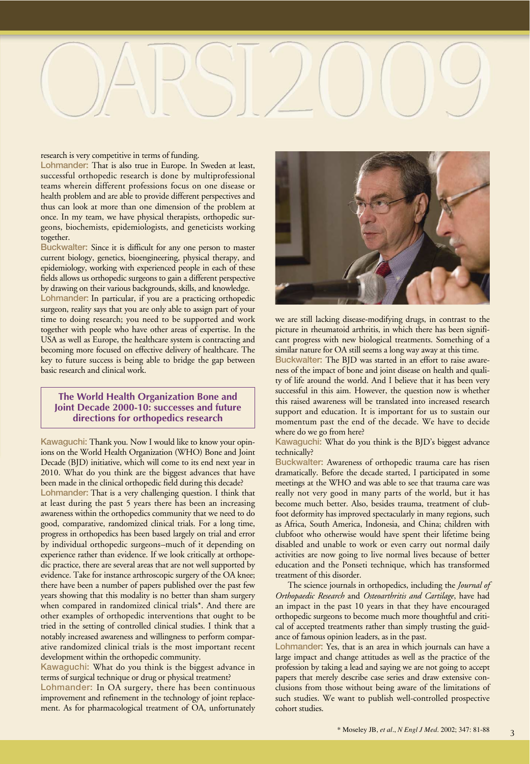

#### research is very competitive in terms of funding.

**Lohmander:** That is also true in Europe. In Sweden at least, successful orthopedic research is done by multiprofessional teams wherein different professions focus on one disease or health problem and are able to provide different perspectives and thus can look at more than one dimension of the problem at once. In my team, we have physical therapists, orthopedic surgeons, biochemists, epidemiologists, and geneticists working together.

**Buckwalter:** Since it is difficult for any one person to master current biology, genetics, bioengineering, physical therapy, and epidemiology, working with experienced people in each of these fields allows us orthopedic surgeons to gain a different perspective by drawing on their various backgrounds, skills, and knowledge.

**Lohmander:** In particular, if you are a practicing orthopedic surgeon, reality says that you are only able to assign part of your time to doing research; you need to be supported and work together with people who have other areas of expertise. In the USA as well as Europe, the healthcare system is contracting and becoming more focused on effective delivery of healthcare. The key to future success is being able to bridge the gap between basic research and clinical work.

### **The World Health Organization Bone and Joint Decade 2000-10: successes and future directions for orthopedics research**

**Kawaguchi:** Thank you. Now I would like to know your opinions on the World Health Organization (WHO) Bone and Joint Decade (BJD) initiative, which will come to its end next year in 2010. What do you think are the biggest advances that have been made in the clinical orthopedic field during this decade?

**Lohmander:** That is a very challenging question. I think that at least during the past 5 years there has been an increasing awareness within the orthopedics community that we need to do good, comparative, randomized clinical trials. For a long time, progress in orthopedics has been based largely on trial and error by individual orthopedic surgeons–much of it depending on experience rather than evidence. If we look critically at orthopedic practice, there are several areas that are not well supported by evidence. Take for instance arthroscopic surgery of the OA knee; there have been a number of papers published over the past few years showing that this modality is no better than sham surgery when compared in randomized clinical trials\*. And there are other examples of orthopedic interventions that ought to be tried in the setting of controlled clinical studies. I think that a notably increased awareness and willingness to perform comparative randomized clinical trials is the most important recent development within the orthopedic community.

**Kawaguchi:** What do you think is the biggest advance in terms of surgical technique or drug or physical treatment?

**Lohmander:** In OA surgery, there has been continuous improvement and refinement in the technology of joint replacement. As for pharmacological treatment of OA, unfortunately



we are still lacking disease-modifying drugs, in contrast to the picture in rheumatoid arthritis, in which there has been significant progress with new biological treatments. Something of a similar nature for OA still seems a long way away at this time.

**Buckwalter:** The BJD was started in an effort to raise awareness of the impact of bone and joint disease on health and quality of life around the world. And I believe that it has been very successful in this aim. However, the question now is whether this raised awareness will be translated into increased research support and education. It is important for us to sustain our momentum past the end of the decade. We have to decide where do we go from here?

**Kawaguchi:** What do you think is the BJD's biggest advance technically?

**Buckwalter:** Awareness of orthopedic trauma care has risen dramatically. Before the decade started, I participated in some meetings at the WHO and was able to see that trauma care was really not very good in many parts of the world, but it has become much better. Also, besides trauma, treatment of clubfoot deformity has improved spectacularly in many regions, such as Africa, South America, Indonesia, and China; children with clubfoot who otherwise would have spent their lifetime being disabled and unable to work or even carry out normal daily activities are now going to live normal lives because of better education and the Ponseti technique, which has transformed treatment of this disorder.

The science journals in orthopedics, including the *Journal of Orthopaedic Research* and *Osteoarthritis and Cartilage*, have had an impact in the past 10 years in that they have encouraged orthopedic surgeons to become much more thoughtful and critical of accepted treatments rather than simply trusting the guidance of famous opinion leaders, as in the past.

**Lohmander:** Yes, that is an area in which journals can have a large impact and change attitudes as well as the practice of the profession by taking a lead and saying we are not going to accept papers that merely describe case series and draw extensive conclusions from those without being aware of the limitations of such studies. We want to publish well-controlled prospective cohort studies.

3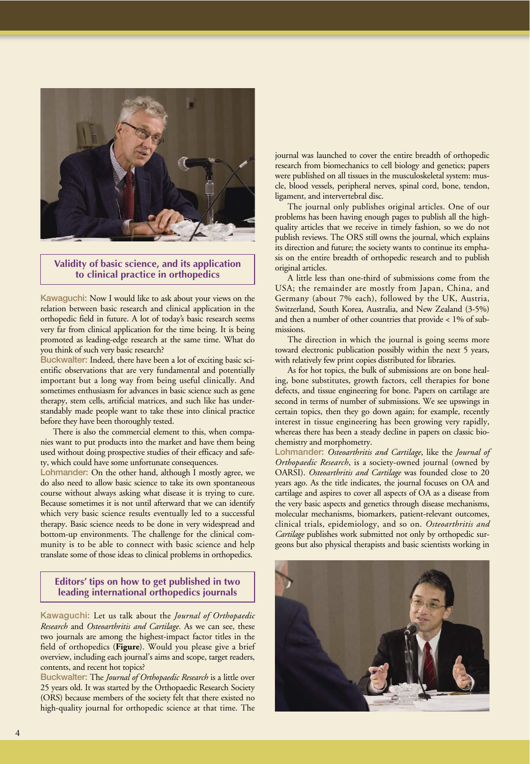

# **Validity of basic science, and its application to clinical practice in orthopedics**

**Kawaguchi:** Now I would like to ask about your views on the relation between basic research and clinical application in the orthopedic field in future. A lot of today's basic research seems very far from clinical application for the time being. It is being promoted as leading-edge research at the same time. What do you think of such very basic research?

**Buckwalter:** Indeed, there have been a lot of exciting basic scientific observations that are very fundamental and potentially important but a long way from being useful clinically. And sometimes enthusiasm for advances in basic science such as gene therapy, stem cells, artificial matrices, and such like has understandably made people want to take these into clinical practice before they have been thoroughly tested.

There is also the commercial element to this, when companies want to put products into the market and have them being used without doing prospective studies of their efficacy and safety, which could have some unfortunate consequences.

**Lohmander:** On the other hand, although I mostly agree, we do also need to allow basic science to take its own spontaneous course without always asking what disease it is trying to cure. Because sometimes it is not until afterward that we can identify which very basic science results eventually led to a successful therapy. Basic science needs to be done in very widespread and bottom-up environments. The challenge for the clinical community is to be able to connect with basic science and help translate some of those ideas to clinical problems in orthopedics.

# **Editors' tips on how to get published in two leading international orthopedics journals**

**Kawaguchi:** Let us talk about the *Journal of Orthopaedic Research* and *Osteoarthritis and Cartilage*. As we can see, these two journals are among the highest-impact factor titles in the field of orthopedics (**Figure**). Would you please give a brief overview, including each journal's aims and scope, target readers, contents, and recent hot topics?

**Buckwalter:** The *Journal of Orthopaedic Research* is a little over 25 years old. It was started by the Orthopaedic Research Society (ORS) because members of the society felt that there existed no high-quality journal for orthopedic science at that time. The journal was launched to cover the entire breadth of orthopedic research from biomechanics to cell biology and genetics; papers were published on all tissues in the musculoskeletal system: muscle, blood vessels, peripheral nerves, spinal cord, bone, tendon, ligament, and intervertebral disc.

The journal only publishes original articles. One of our problems has been having enough pages to publish all the highquality articles that we receive in timely fashion, so we do not publish reviews. The ORS still owns the journal, which explains its direction and future; the society wants to continue its emphasis on the entire breadth of orthopedic research and to publish original articles.

A little less than one-third of submissions come from the USA; the remainder are mostly from Japan, China, and Germany (about 7% each), followed by the UK, Austria, Switzerland, South Korea, Australia, and New Zealand (3-5%) and then a number of other countries that provide < 1% of submissions.

The direction in which the journal is going seems more toward electronic publication possibly within the next 5 years, with relatively few print copies distributed for libraries.

As for hot topics, the bulk of submissions are on bone healing, bone substitutes, growth factors, cell therapies for bone defects, and tissue engineering for bone. Papers on cartilage are second in terms of number of submissions. We see upswings in certain topics, then they go down again; for example, recently interest in tissue engineering has been growing very rapidly, whereas there has been a steady decline in papers on classic biochemistry and morphometry.

**Lohmander:** *Osteoarthritis and Cartilage*, like the *Journal of Orthopaedic Research*, is a society-owned journal (owned by OARSI). *Osteoarthritis and Cartilage* was founded close to 20 years ago. As the title indicates, the journal focuses on OA and cartilage and aspires to cover all aspects of OA as a disease from the very basic aspects and genetics through disease mechanisms, molecular mechanisms, biomarkers, patient-relevant outcomes, clinical trials, epidemiology, and so on. *Osteoarthritis and Cartilage* publishes work submitted not only by orthopedic surgeons but also physical therapists and basic scientists working in

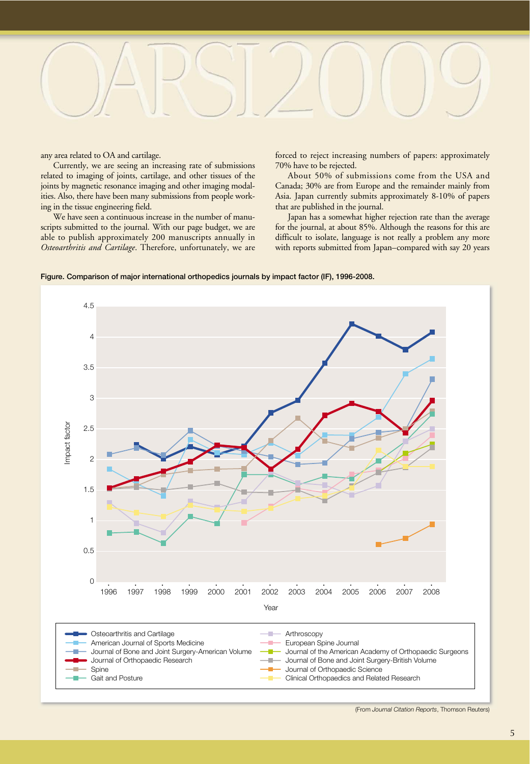

any area related to OA and cartilage.

Currently, we are seeing an increasing rate of submissions related to imaging of joints, cartilage, and other tissues of the joints by magnetic resonance imaging and other imaging modalities. Also, there have been many submissions from people working in the tissue engineering field.

We have seen a continuous increase in the number of manuscripts submitted to the journal. With our page budget, we are able to publish approximately 200 manuscripts annually in *Osteoarthritis and Cartilage*. Therefore, unfortunately, we are forced to reject increasing numbers of papers: approximately 70% have to be rejected.

About 50% of submissions come from the USA and Canada; 30% are from Europe and the remainder mainly from Asia. Japan currently submits approximately 8-10% of papers that are published in the journal.

Japan has a somewhat higher rejection rate than the average for the journal, at about 85%. Although the reasons for this are difficult to isolate, language is not really a problem any more with reports submitted from Japan–compared with say 20 years





<sup>(</sup>From *Journal Citation Reports*, Thomson Reuters)